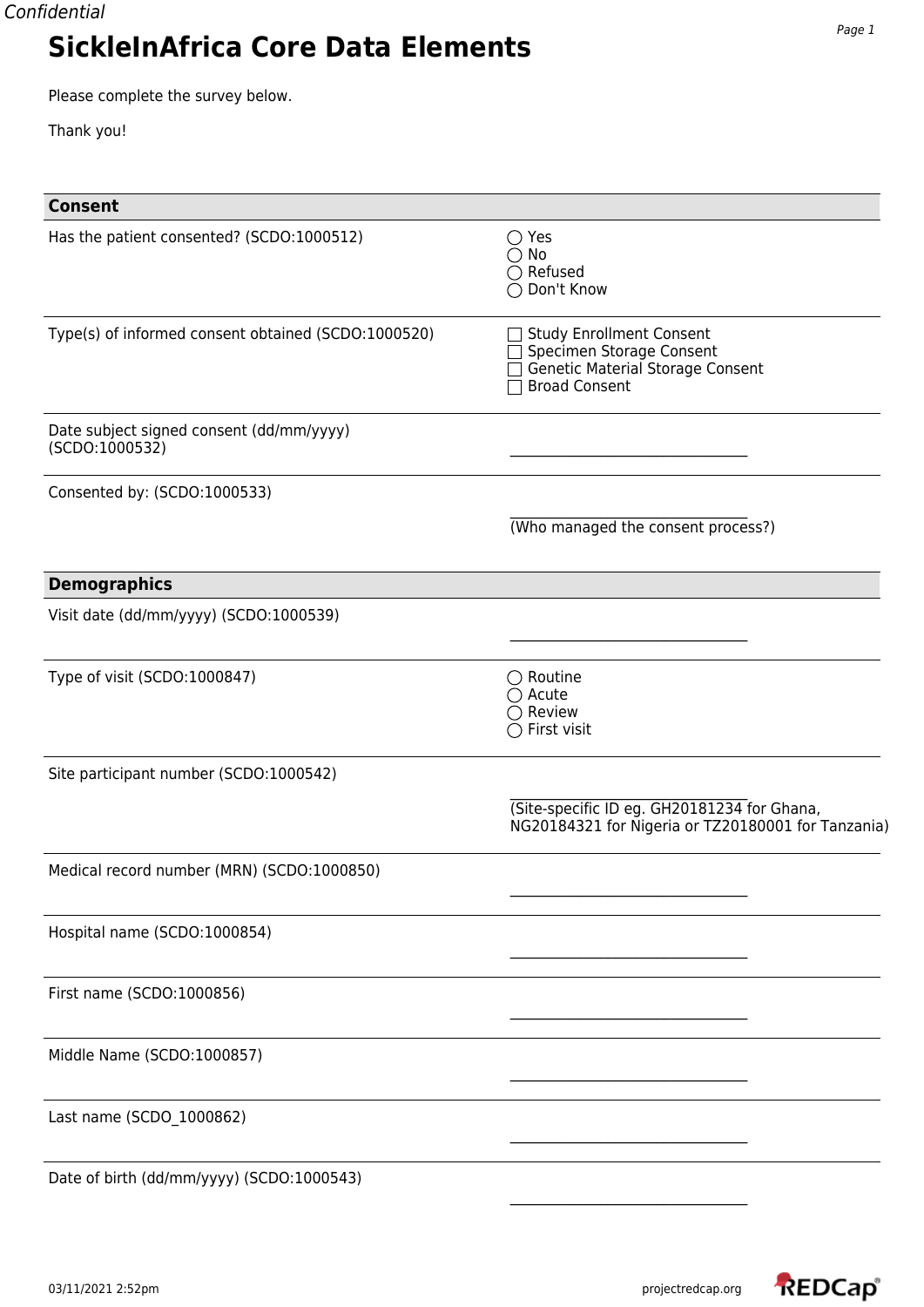Please complete the survey below.

Thank you!

| <b>Consent</b>                                             |                                                                                                                         |
|------------------------------------------------------------|-------------------------------------------------------------------------------------------------------------------------|
| Has the patient consented? (SCDO:1000512)                  | $\bigcirc$ Yes<br>$\bigcirc$ No<br>$\bigcirc$ Refused<br>◯ Don't Know                                                   |
| Type(s) of informed consent obtained (SCDO:1000520)        | <b>Study Enrollment Consent</b><br>Specimen Storage Consent<br>Genetic Material Storage Consent<br><b>Broad Consent</b> |
| Date subject signed consent (dd/mm/yyyy)<br>(SCDO:1000532) |                                                                                                                         |
| Consented by: (SCDO:1000533)                               |                                                                                                                         |
|                                                            | (Who managed the consent process?)                                                                                      |
| <b>Demographics</b>                                        |                                                                                                                         |
| Visit date (dd/mm/yyyy) (SCDO:1000539)                     |                                                                                                                         |
| Type of visit (SCDO:1000847)                               | $\bigcirc$ Routine<br>$\bigcirc$ Acute<br>$\bigcirc$ Review<br>$\bigcirc$ First visit                                   |
| Site participant number (SCDO:1000542)                     |                                                                                                                         |
|                                                            | (Site-specific ID eg. GH20181234 for Ghana,<br>NG20184321 for Nigeria or TZ20180001 for Tanzania)                       |
| Medical record number (MRN) (SCDO:1000850)                 |                                                                                                                         |
| Hospital name (SCDO:1000854)                               |                                                                                                                         |
| First name (SCDO:1000856)                                  |                                                                                                                         |
| Middle Name (SCDO:1000857)                                 |                                                                                                                         |
| Last name (SCDO_1000862)                                   |                                                                                                                         |
| Date of birth (dd/mm/yyyy) (SCDO:1000543)                  |                                                                                                                         |

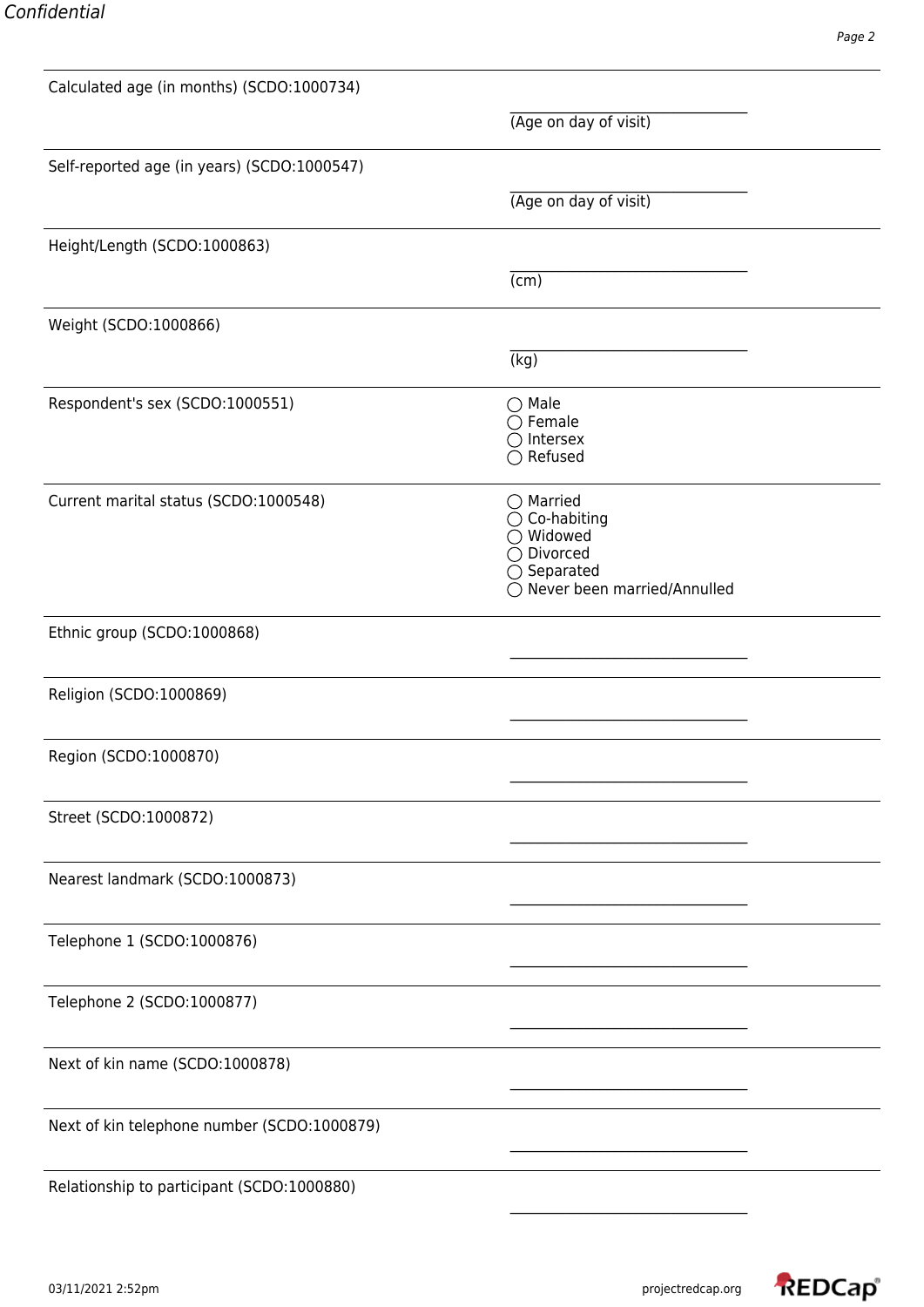| Calculated age (in months) (SCDO:1000734)   |                                                                                                                                           |  |
|---------------------------------------------|-------------------------------------------------------------------------------------------------------------------------------------------|--|
|                                             | (Age on day of visit)                                                                                                                     |  |
| Self-reported age (in years) (SCDO:1000547) |                                                                                                                                           |  |
|                                             | (Age on day of visit)                                                                                                                     |  |
| Height/Length (SCDO:1000863)                |                                                                                                                                           |  |
|                                             | (cm)                                                                                                                                      |  |
| Weight (SCDO:1000866)                       |                                                                                                                                           |  |
|                                             | (kg)                                                                                                                                      |  |
| Respondent's sex (SCDO:1000551)             | $\bigcirc$ Male<br>$\bigcirc$ Female<br>$\bigcirc$ Intersex                                                                               |  |
|                                             | $\bigcirc$ Refused                                                                                                                        |  |
| Current marital status (SCDO:1000548)       | $\bigcirc$ Married<br>$\bigcirc$ Co-habiting<br>$\bigcirc$ Widowed<br>◯ Divorced<br>$\bigcirc$ Separated<br>○ Never been married/Annulled |  |
| Ethnic group (SCDO:1000868)                 |                                                                                                                                           |  |
| Religion (SCDO:1000869)                     |                                                                                                                                           |  |
|                                             |                                                                                                                                           |  |
| Region (SCDO:1000870)                       |                                                                                                                                           |  |
| Street (SCDO:1000872)                       |                                                                                                                                           |  |
| Nearest landmark (SCDO:1000873)             |                                                                                                                                           |  |
| Telephone 1 (SCDO:1000876)                  |                                                                                                                                           |  |
| Telephone 2 (SCDO:1000877)                  |                                                                                                                                           |  |
| Next of kin name (SCDO:1000878)             |                                                                                                                                           |  |
| Next of kin telephone number (SCDO:1000879) |                                                                                                                                           |  |
| Relationship to participant (SCDO:1000880)  |                                                                                                                                           |  |

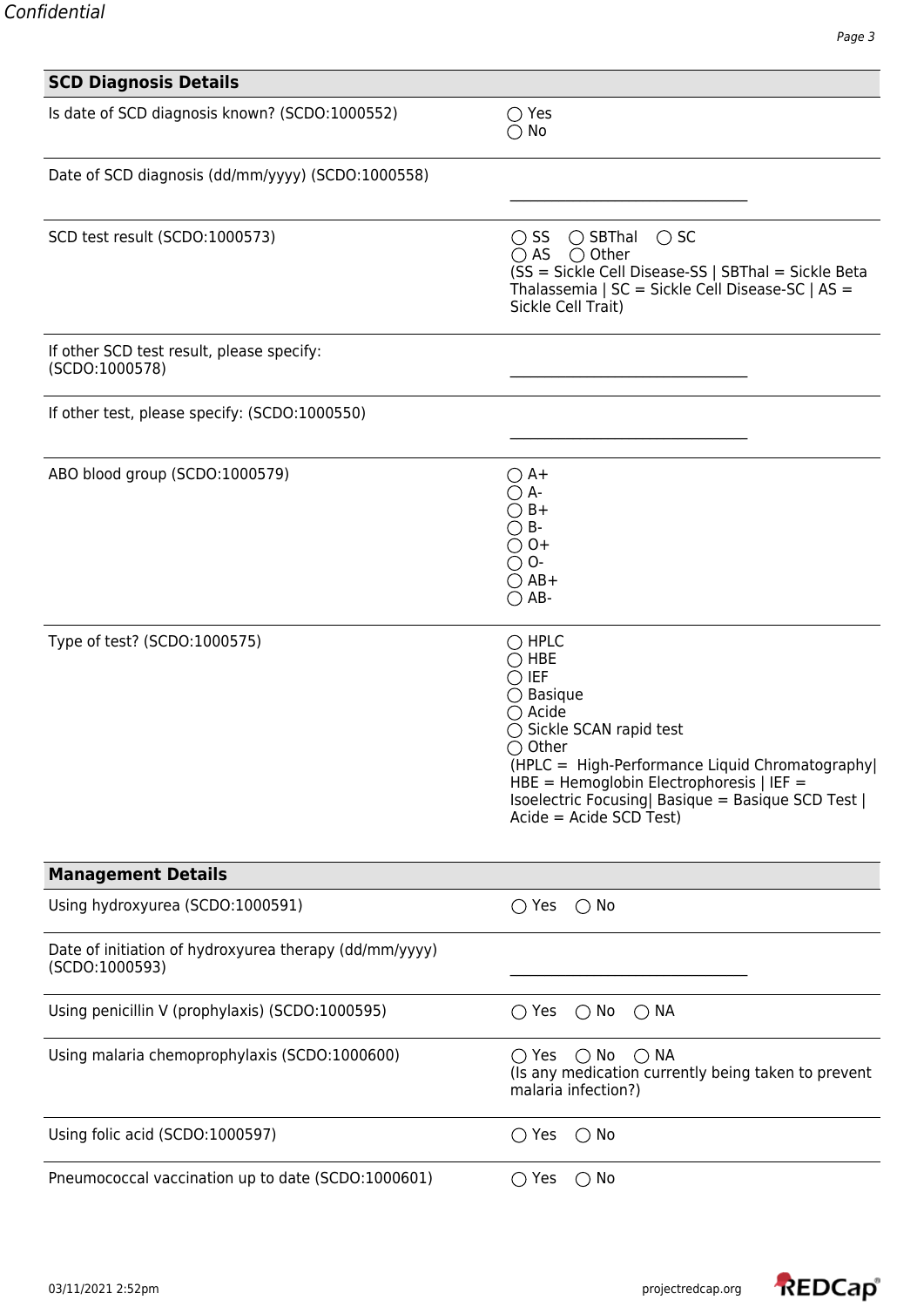| <b>SCD Diagnosis Details</b>                                             |                                                                                                                                                                                                                                                                                                                                          |
|--------------------------------------------------------------------------|------------------------------------------------------------------------------------------------------------------------------------------------------------------------------------------------------------------------------------------------------------------------------------------------------------------------------------------|
| Is date of SCD diagnosis known? (SCDO:1000552)                           | $\bigcirc$ Yes<br>$\bigcirc$ No                                                                                                                                                                                                                                                                                                          |
| Date of SCD diagnosis (dd/mm/yyyy) (SCDO:1000558)                        |                                                                                                                                                                                                                                                                                                                                          |
| SCD test result (SCDO:1000573)                                           | $\bigcirc$ SS<br>$\bigcirc$ SBThal $\bigcirc$ SC<br>$\bigcirc$ AS $\bigcirc$ Other<br>(SS = Sickle Cell Disease-SS   SBThal = Sickle Beta<br>Thalassemia   SC = Sickle Cell Disease-SC   AS =<br>Sickle Cell Trait)                                                                                                                      |
| If other SCD test result, please specify:<br>(SCDO:1000578)              |                                                                                                                                                                                                                                                                                                                                          |
| If other test, please specify: (SCDO:1000550)                            |                                                                                                                                                                                                                                                                                                                                          |
| ABO blood group (SCDO:1000579)                                           | $\bigcirc$ A+<br>$\bigcirc$ A-<br>$\bigcirc$ B+<br>$\bigcirc$ B-<br>$\bigcirc$ 0+<br>$\bigcirc$ O-<br>$\bigcirc$ AB+<br>$\bigcirc$ AB-                                                                                                                                                                                                   |
| Type of test? (SCDO:1000575)                                             | $\bigcirc$ HPLC<br>$\bigcirc$ HBE<br>$\bigcirc$ IEF<br>$\bigcirc$ Basique<br>$\bigcirc$ Acide<br>$\bigcirc$ Sickle SCAN rapid test<br>$\bigcirc$ Other<br>(HPLC = High-Performance Liquid Chromatography)<br>$HBE =$ Hemoglobin Electrophoresis   IEF =<br>Isoelectric Focusing Basique = Basique SCD Test  <br>$Acide = Acide SCD Test$ |
| <b>Management Details</b>                                                |                                                                                                                                                                                                                                                                                                                                          |
| Using hydroxyurea (SCDO:1000591)                                         | $\bigcirc$ Yes<br>$\bigcirc$ No                                                                                                                                                                                                                                                                                                          |
| Date of initiation of hydroxyurea therapy (dd/mm/yyyy)<br>(SCDO:1000593) |                                                                                                                                                                                                                                                                                                                                          |
| Using penicillin V (prophylaxis) (SCDO:1000595)                          | $\bigcirc$ No<br>$\bigcirc$ Yes<br>$\bigcirc$ NA                                                                                                                                                                                                                                                                                         |
| Using malaria chemoprophylaxis (SCDO:1000600)                            | $\bigcirc$ Yes $\bigcirc$ No $\bigcirc$ NA<br>(Is any medication currently being taken to prevent<br>malaria infection?)                                                                                                                                                                                                                 |
| Using folic acid (SCDO:1000597)                                          | $\bigcirc$ Yes<br>$\bigcirc$ No                                                                                                                                                                                                                                                                                                          |
| Pneumococcal vaccination up to date (SCDO:1000601)                       | $\bigcirc$ Yes<br>$\bigcirc$ No                                                                                                                                                                                                                                                                                                          |

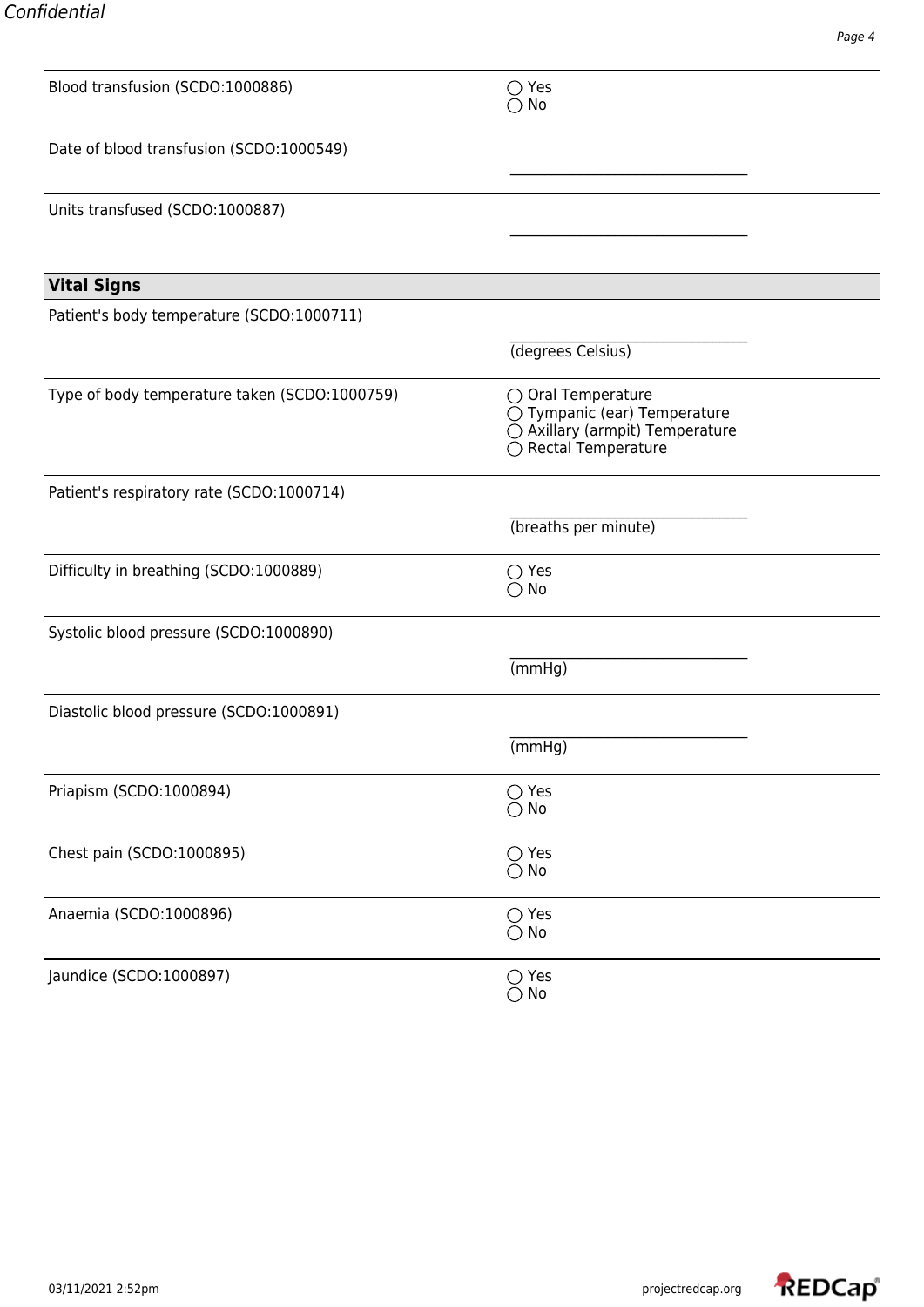| Blood transfusion (SCDO:1000886)              | $\bigcirc$ Yes<br>No                                                                                          |  |
|-----------------------------------------------|---------------------------------------------------------------------------------------------------------------|--|
| Date of blood transfusion (SCDO:1000549)      |                                                                                                               |  |
| Units transfused (SCDO:1000887)               |                                                                                                               |  |
| <b>Vital Signs</b>                            |                                                                                                               |  |
| Patient's body temperature (SCDO:1000711)     |                                                                                                               |  |
|                                               | (degrees Celsius)                                                                                             |  |
| Type of body temperature taken (SCDO:1000759) | ○ Oral Temperature<br>◯ Tympanic (ear) Temperature<br>◯ Axillary (armpit) Temperature<br>◯ Rectal Temperature |  |
| Patient's respiratory rate (SCDO:1000714)     |                                                                                                               |  |
|                                               | (breaths per minute)                                                                                          |  |
| Difficulty in breathing (SCDO:1000889)        | $\bigcirc$ Yes<br>$\bigcirc$ No                                                                               |  |
| Systolic blood pressure (SCDO:1000890)        |                                                                                                               |  |
|                                               | (mmHg)                                                                                                        |  |
| Diastolic blood pressure (SCDO:1000891)       |                                                                                                               |  |
|                                               | (mmHg)                                                                                                        |  |
| Priapism (SCDO:1000894)                       | $\bigcirc$ Yes<br>$\bigcirc$ No                                                                               |  |
| Chest pain (SCDO:1000895)                     | $\bigcirc$ Yes<br>$\bigcirc$ No                                                                               |  |
| Anaemia (SCDO:1000896)                        | $\bigcirc$ Yes<br>$\bigcirc$ No                                                                               |  |
| Jaundice (SCDO:1000897)                       | $\bigcirc$ Yes<br>$\bigcirc$ No                                                                               |  |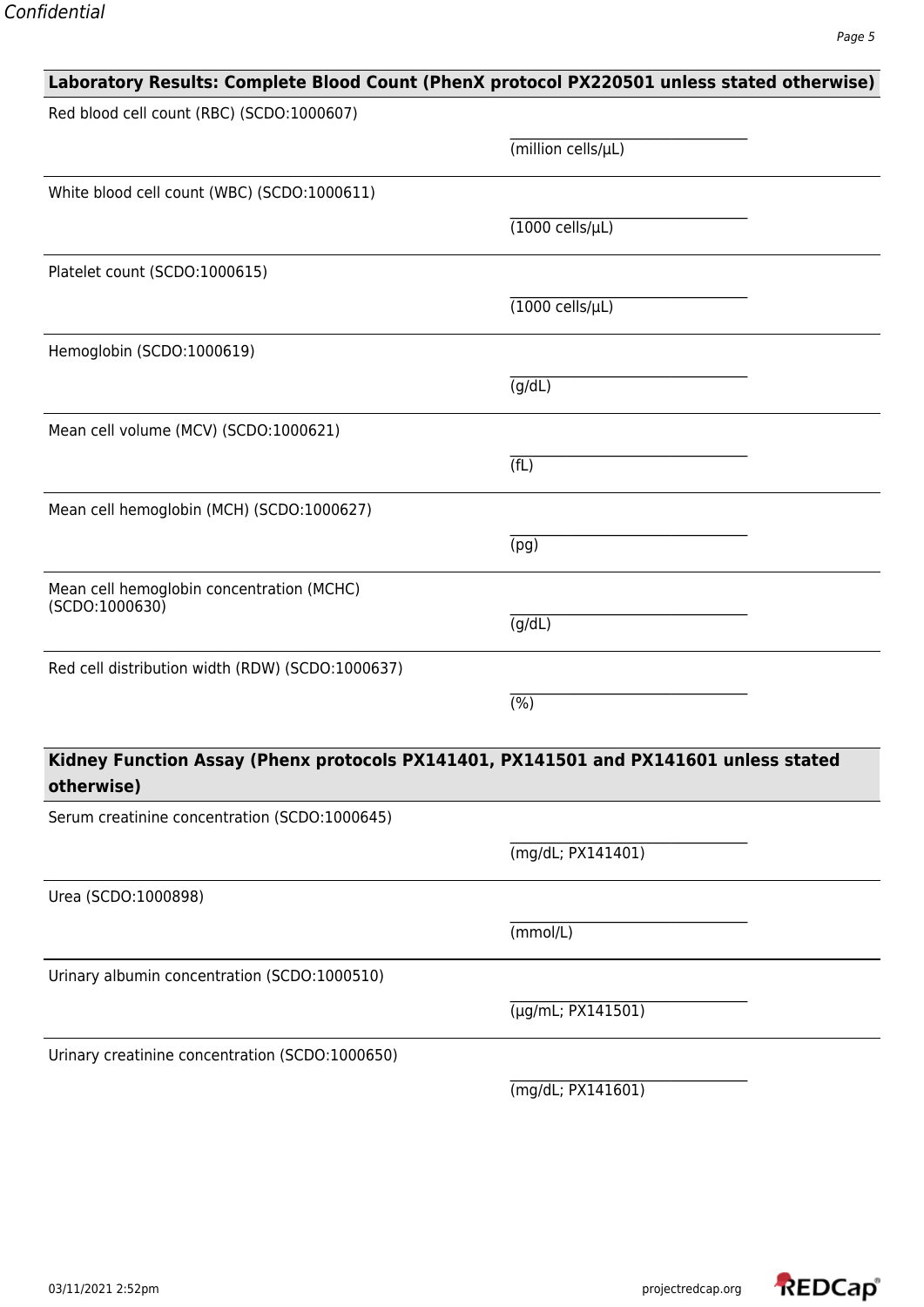## **Laboratory Results: Complete Blood Count (PhenX protocol PX220501 unless stated otherwise)** Red blood cell count (RBC) (SCDO:1000607) \_\_\_\_\_\_\_\_\_\_\_\_\_\_\_\_\_\_\_\_\_\_\_\_\_\_\_\_\_\_\_\_\_\_ (million cells/µL) White blood cell count (WBC) (SCDO:1000611) \_\_\_\_\_\_\_\_\_\_\_\_\_\_\_\_\_\_\_\_\_\_\_\_\_\_\_\_\_\_\_\_\_\_  $(1000 \text{ cells/}\mu\text{L})$ Platelet count (SCDO:1000615) \_\_\_\_\_\_\_\_\_\_\_\_\_\_\_\_\_\_\_\_\_\_\_\_\_\_\_\_\_\_\_\_\_\_  $(1000 \text{ cells/}\mu\text{L})$ Hemoglobin (SCDO:1000619) \_\_\_\_\_\_\_\_\_\_\_\_\_\_\_\_\_\_\_\_\_\_\_\_\_\_\_\_\_\_\_\_\_\_  $\overline{(g/dL)}$ Mean cell volume (MCV) (SCDO:1000621) \_\_\_\_\_\_\_\_\_\_\_\_\_\_\_\_\_\_\_\_\_\_\_\_\_\_\_\_\_\_\_\_\_\_  $(TL)$ Mean cell hemoglobin (MCH) (SCDO:1000627) \_\_\_\_\_\_\_\_\_\_\_\_\_\_\_\_\_\_\_\_\_\_\_\_\_\_\_\_\_\_\_\_\_\_ (pg) Mean cell hemoglobin concentration (MCHC) (SCDO:1000630) \_\_\_\_\_\_\_\_\_\_\_\_\_\_\_\_\_\_\_\_\_\_\_\_\_\_\_\_\_\_\_\_\_\_  $\overline{(g/dL)}$ Red cell distribution width (RDW) (SCDO:1000637) \_\_\_\_\_\_\_\_\_\_\_\_\_\_\_\_\_\_\_\_\_\_\_\_\_\_\_\_\_\_\_\_\_\_  $(%)$ **Kidney Function Assay (Phenx protocols PX141401, PX141501 and PX141601 unless stated otherwise)** Serum creatinine concentration (SCDO:1000645) (mg/dL; PX141401) Urea (SCDO:1000898) (mmol/L) Urinary albumin concentration (SCDO:1000510) (µg/mL; PX141501) Urinary creatinine concentration (SCDO:1000650) (mg/dL; PX141601)

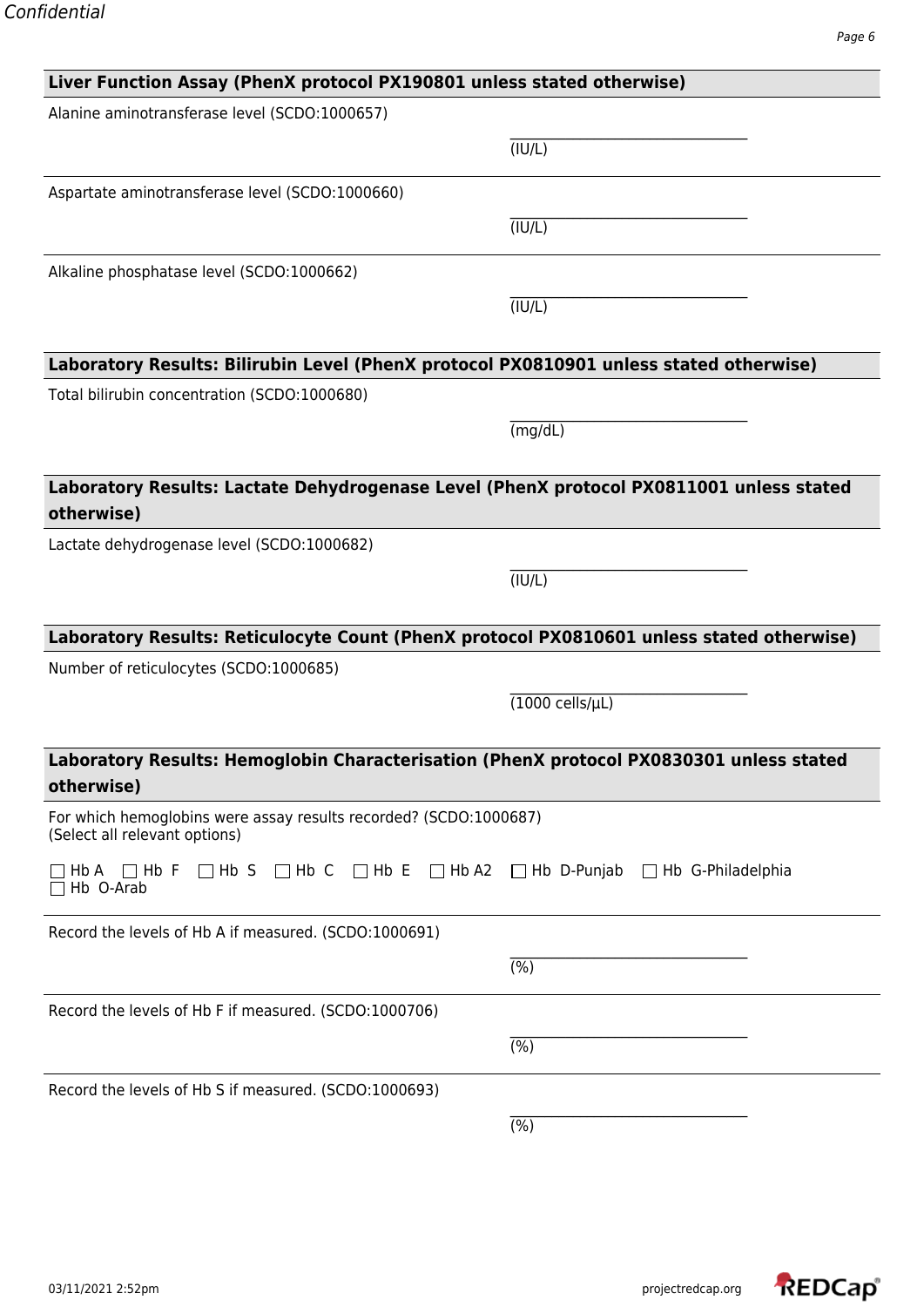| Liver Function Assay (PhenX protocol PX190801 unless stated otherwise)                                                           |                              |  |
|----------------------------------------------------------------------------------------------------------------------------------|------------------------------|--|
| Alanine aminotransferase level (SCDO:1000657)                                                                                    |                              |  |
|                                                                                                                                  | (TUV/L)                      |  |
| Aspartate aminotransferase level (SCDO:1000660)                                                                                  |                              |  |
|                                                                                                                                  | (TUV/L)                      |  |
| Alkaline phosphatase level (SCDO:1000662)                                                                                        |                              |  |
|                                                                                                                                  | (TUV/L)                      |  |
| Laboratory Results: Bilirubin Level (PhenX protocol PX0810901 unless stated otherwise)                                           |                              |  |
| Total bilirubin concentration (SCDO:1000680)                                                                                     |                              |  |
|                                                                                                                                  | (mg/dL)                      |  |
| Laboratory Results: Lactate Dehydrogenase Level (PhenX protocol PX0811001 unless stated<br>otherwise)                            |                              |  |
| Lactate dehydrogenase level (SCDO:1000682)                                                                                       |                              |  |
|                                                                                                                                  | (TUV/L)                      |  |
|                                                                                                                                  |                              |  |
| Laboratory Results: Reticulocyte Count (PhenX protocol PX0810601 unless stated otherwise)                                        |                              |  |
| Number of reticulocytes (SCDO:1000685)                                                                                           |                              |  |
|                                                                                                                                  | $(1000 \text{ cells/}\mu L)$ |  |
| Laboratory Results: Hemoglobin Characterisation (PhenX protocol PX0830301 unless stated                                          |                              |  |
| otherwise)                                                                                                                       |                              |  |
| For which hemoglobins were assay results recorded? (SCDO:1000687)<br>(Select all relevant options)                               |                              |  |
| $\Box$ Hb S $\Box$ Hb C $\Box$ Hb E $\Box$ Hb A2 $\Box$ Hb D-Punjab $\Box$ Hb G-Philadelphia<br>Hb A<br>$\Box$ Hb F<br>Hb O-Arab |                              |  |
| Record the levels of Hb A if measured. (SCDO:1000691)                                                                            |                              |  |
|                                                                                                                                  | (%)                          |  |
| Record the levels of Hb F if measured. (SCDO:1000706)                                                                            |                              |  |
|                                                                                                                                  | (% )                         |  |
| Record the levels of Hb S if measured. (SCDO:1000693)                                                                            |                              |  |